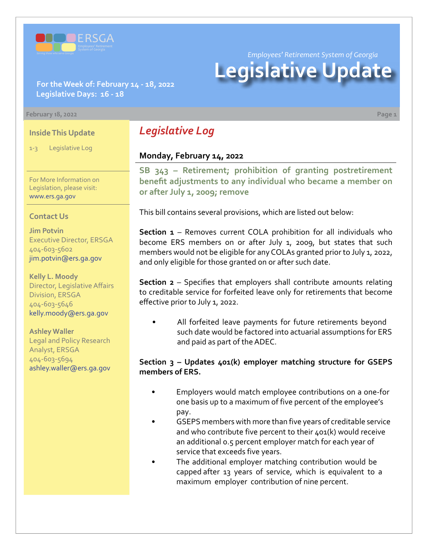

*Employees' Retirement System of Georgia*

# **Legislative Update**

**For the Week of: February 14 - 18, 2022 Legislative Days: 16 - 18**

#### **February 18, 2022 Page 1**

#### **Inside This Update**

1-3 Legislative Log

For More Information on Legislation, please visit: [www.ers.ga.gov](http://www.ers.ga.gov/default.aspx)

#### **Contact Us**

**Jim Potvin** Executive Director, ERSGA 404-603-5602 jim.potvin@ers.ga.gov

**Kelly L. Moody** Director, Legislative Affairs Division, ERSGA 404-603-5646 kelly.moody@ers.ga.gov

**Ashley Waller** Legal and Policy Research Analyst, ERSGA 404-603-5694 ashley.waller@ers.ga.gov

# *Legislative Log*

#### **Monday, February 14, 2022**

**[SB 343](https://www.legis.ga.gov/legislation/61176) – [Retirement; prohibition of granting postretirement](https://www.legis.ga.gov/legislation/61176)  benefit adjustments to any individual who became a member on or after July 1, 2009; remove**

This bill contains several provisions, which are listed out below:

**Section 1** – Removes current COLA prohibition for all individuals who become ERS members on or after July 1, 2009, but states that such members would not be eligible for any COLAs granted prior to July 1, 2022, and only eligible for those granted on or after such date.

**Section 2** – Specifies that employers shall contribute amounts relating to creditable service for forfeited leave only for retirements that become effective prior to July 1, 2022.

All forfeited leave payments for future retirements beyond such date would be factored into actuarial assumptions for ERS and paid as part of the ADEC.

#### **Section 3 – Updates 401(k) employer matching structure for GSEPS members of ERS.**

- Employers would match employee contributions on a one-for one basis up to a maximum of five percent of the employee's pay.
- GSEPS members with more than five years of creditable service and who contribute five percent to their 401(k) would receive an additional 0.5 percent employer match for each year of service that exceeds five years.
- The additional employer matching contribution would be capped after 13 years of service, which is equivalent to a maximum employer contribution of nine percent.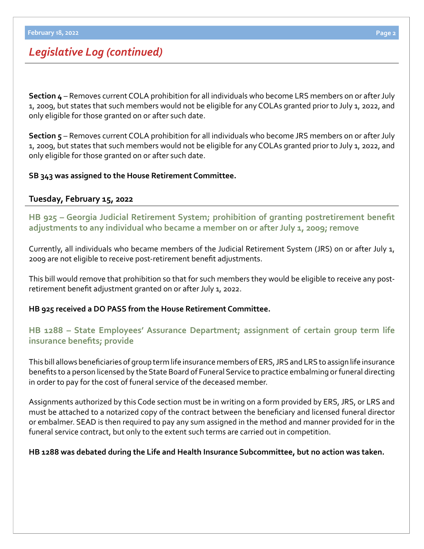# *Legislative Log (continued)*

**Section 4** – Removes current COLA prohibition for all individuals who become LRS members on or after July 1, 2009, but states that such members would not be eligible for any COLAs granted prior to July 1, 2022, and only eligible for those granted on or after such date.

**Section 5** – Removes current COLA prohibition for all individuals who become JRS members on or after July 1, 2009, but states that such members would not be eligible for any COLAs granted prior to July 1, 2022, and only eligible for those granted on or after such date.

#### **SB 343 was assigned to the House Retirement Committee.**

### **Tuesday, February 15, 2022**

**[HB 925](https://www.legis.ga.gov/legislation/61161) – [Georgia Judicial Retirement System; prohibition of granting postretirement benefit](https://www.legis.ga.gov/legislation/61161)  adjustments to any individual who became a member on or after July 1, 2009; remove**

Currently, all individuals who became members of the Judicial Retirement System (JRS) on or after July 1, 2009 are not eligible to receive post-retirement benefit adjustments.

This bill would remove that prohibition so that for such members they would be eligible to receive any postretirement benefit adjustment granted on or after July 1, 2022.

#### **HB 925 received a DO PASS from the House Retirement Committee.**

## **[HB 1288 – State Employees' Assurance Department; assignment of certain group term life](https://www.legis.ga.gov/legislation/61906)  insurance benefits; provide**

This bill allows beneficiaries of group term life insurance members of ERS, JRS and LRS to assign life insurance benefits to a person licensed by the State Board of Funeral Service to practice embalming or funeral directing in order to pay for the cost of funeral service of the deceased member.

Assignments authorized by this Code section must be in writing on a form provided by ERS, JRS, or LRS and must be attached to a notarized copy of the contract between the beneficiary and licensed funeral director or embalmer. SEAD is then required to pay any sum assigned in the method and manner provided for in the funeral service contract, but only to the extent such terms are carried out in competition.

#### **HB 1288 was debated during the Life and Health Insurance Subcommittee, but no action was taken.**